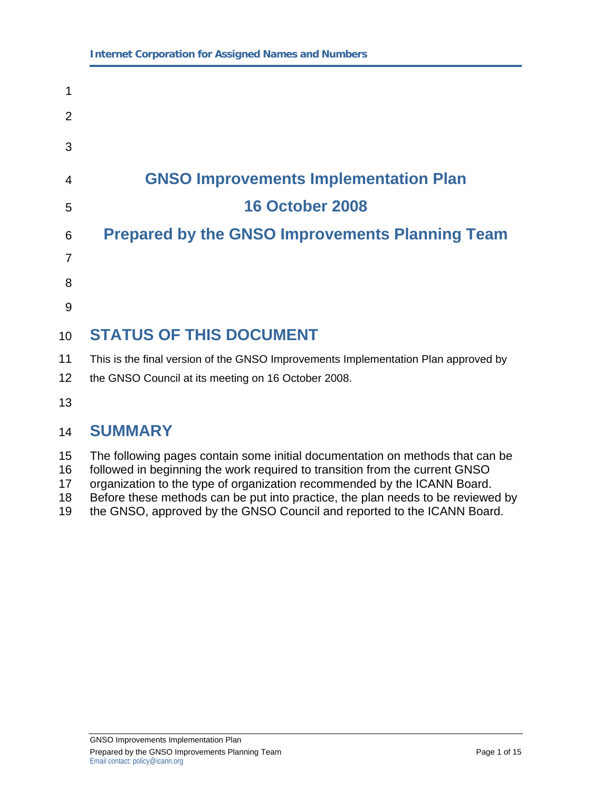# 1 2 3 4 **GNSO Improvements Implementation Plan**  5 **16 October 2008**  6 **Prepared by the GNSO Improvements Planning Team**  7 8 9 10 **STATUS OF THIS DOCUMENT**  11 This is the final version of the GNSO Improvements Implementation Plan approved by 12 the GNSO Council at its meeting on 16 October 2008. 13 14 **SUMMARY**

- 15 The following pages contain some initial documentation on methods that can be
- 16 followed in beginning the work required to transition from the current GNSO
- 17 organization to the type of organization recommended by the ICANN Board.
- 18 Before these methods can be put into practice, the plan needs to be reviewed by
- 19 the GNSO, approved by the GNSO Council and reported to the ICANN Board.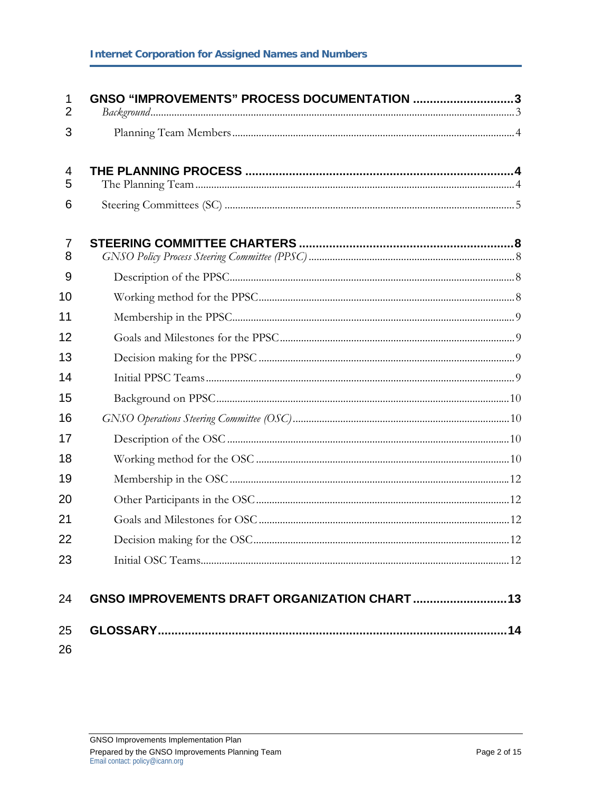| 1<br>$\overline{2}$ | GNSO "IMPROVEMENTS" PROCESS DOCUMENTATION 3 |
|---------------------|---------------------------------------------|
| 3                   |                                             |
| 4<br>5              |                                             |
| 6                   |                                             |
| 7<br>8              |                                             |
| 9                   |                                             |
| 10                  |                                             |
| 11                  |                                             |
| 12                  |                                             |
| 13                  |                                             |
| 14                  |                                             |
| 15                  |                                             |
| 16                  |                                             |
| 17                  |                                             |
| 18                  |                                             |
| 19                  |                                             |
| 20                  |                                             |
| 21                  |                                             |
| 22                  |                                             |
| 23                  |                                             |
| 24                  |                                             |
| 25                  |                                             |
| 26                  |                                             |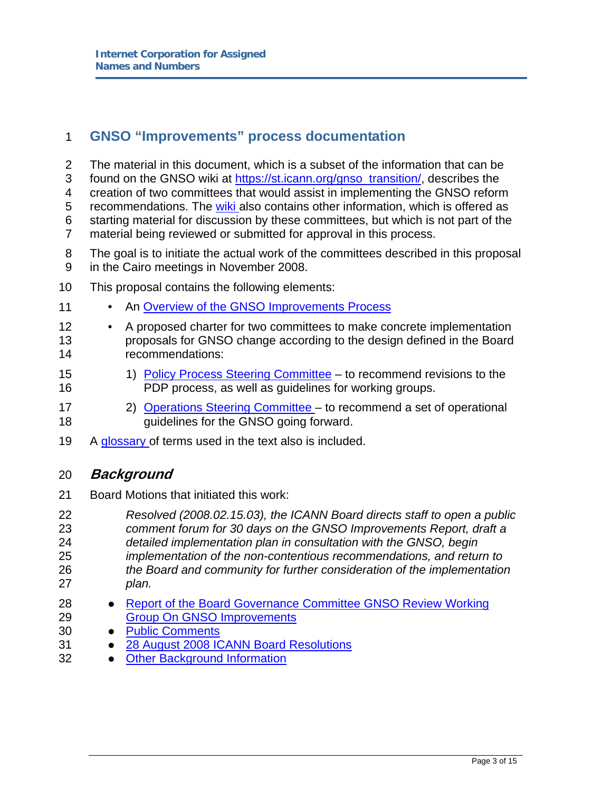## 1 **GNSO "Improvements" process documentation**

- 2 The material in this document, which is a subset of the information that can be 3 found on the GNSO wiki at https://st.icann.org/gnso\_transition/, describes the 4 creation of two committees that would assist in implementing the GNSO reform 5 recommendations. The wiki also contains other information, which is offered as 6 starting material for discussion by these committees, but which is not part of the 7 material being reviewed or submitted for approval in this process.
- 8 The goal is to initiate the actual work of the committees described in this proposal 9 in the Cairo meetings in November 2008.
- 10 This proposal contains the following elements:
- 11 An Overview of the GNSO Improvements Process
- 12 A proposed charter for two committees to make concrete implementation 13 proposals for GNSO change according to the design defined in the Board 14 recommendations:
- 15 15 1) Policy Process Steering Committee to recommend revisions to the 16 PDP process, as well as guidelines for working groups.
- 17 2) Operations Steering Committee to recommend a set of operational 18 **guidelines for the GNSO going forward.**
- 19 A glossary of terms used in the text also is included.

### 20 **Background**

- 21 Board Motions that initiated this work:
- 22 *Resolved (2008.02.15.03), the ICANN Board directs staff to open a public*  23 *comment forum for 30 days on the GNSO Improvements Report, draft a*  24 *detailed implementation plan in consultation with the GNSO, begin*  25 *implementation of the non-contentious recommendations, and return to*  26 *the Board and community for further consideration of the implementation*  27 *plan.*
- 28 Report of the Board Governance Committee GNSO Review Working 29 Group On GNSO Improvements
- 30 · Public Comments
- 31 28 August 2008 ICANN Board Resolutions
- 32 Other Background Information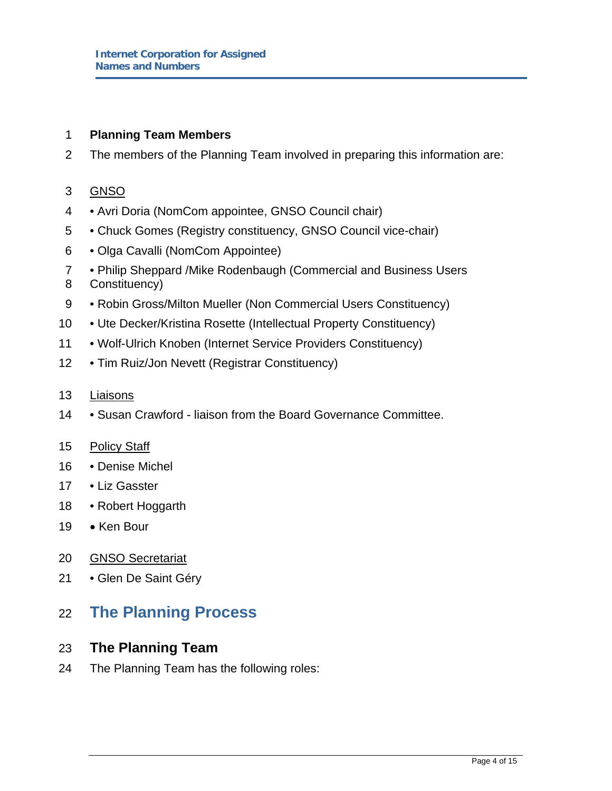#### 1 **Planning Team Members**

2 The members of the Planning Team involved in preparing this information are:

#### 3 GNSO

- 4 Avri Doria (NomCom appointee, GNSO Council chair)
- 5 Chuck Gomes (Registry constituency, GNSO Council vice-chair)
- 6 Olga Cavalli (NomCom Appointee)
- 7 Philip Sheppard /Mike Rodenbaugh (Commercial and Business Users 8 Constituency)
- 9 Robin Gross/Milton Mueller (Non Commercial Users Constituency)
- 10 Ute Decker/Kristina Rosette (Intellectual Property Constituency)
- 11 Wolf-Ulrich Knoben (Internet Service Providers Constituency)
- 12 Tim Ruiz/Jon Nevett (Registrar Constituency)

#### 13 Liaisons

14 • Susan Crawford - liaison from the Board Governance Committee.

#### 15 Policy Staff

- 16 Denise Michel
- 17 Liz Gasster
- 18 Robert Hoggarth
- 19 Ken Bour
- 20 GNSO Secretariat
- 21 Glen De Saint Géry

# 22 **The Planning Process**

#### 23 **The Planning Team**

24 The Planning Team has the following roles: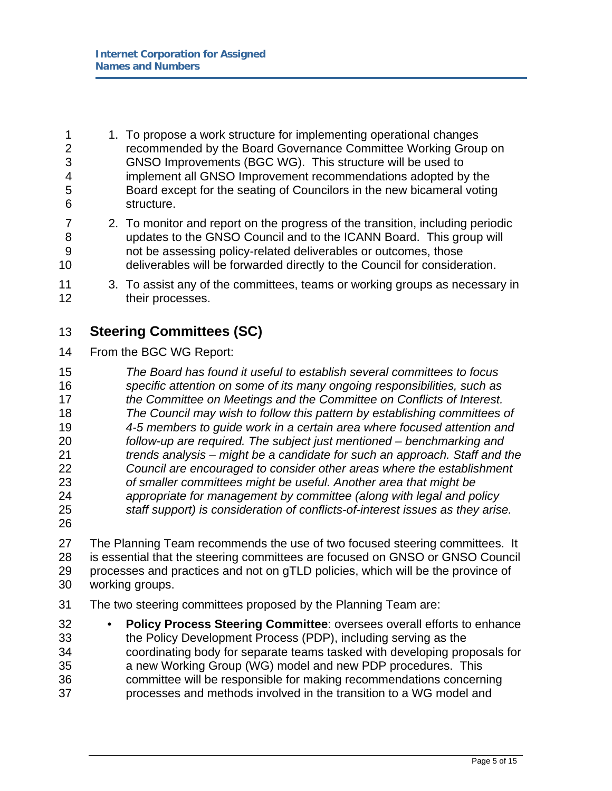- 1 1. To propose a work structure for implementing operational changes 2 recommended by the Board Governance Committee Working Group on 3 GNSO Improvements (BGC WG). This structure will be used to 4 implement all GNSO Improvement recommendations adopted by the 5 Board except for the seating of Councilors in the new bicameral voting 6 structure.
- 7 2. To monitor and report on the progress of the transition, including periodic 8 updates to the GNSO Council and to the ICANN Board. This group will 9 not be assessing policy-related deliverables or outcomes, those 10 deliverables will be forwarded directly to the Council for consideration.
- 11 3. To assist any of the committees, teams or working groups as necessary in 12 their processes.

## 13 **Steering Committees (SC)**

14 From the BGC WG Report:

*The Board has found it useful to establish several committees to focus specific attention on some of its many ongoing responsibilities, such as the Committee on Meetings and the Committee on Conflicts of Interest. The Council may wish to follow this pattern by establishing committees of 4-5 members to guide work in a certain area where focused attention and follow-up are required. The subject just mentioned – benchmarking and trends analysis – might be a candidate for such an approach. Staff and the Council are encouraged to consider other areas where the establishment of smaller committees might be useful. Another area that might be appropriate for management by committee (along with legal and policy staff support) is consideration of conflicts-of-interest issues as they arise.*

26

27 The Planning Team recommends the use of two focused steering committees. It 28 is essential that the steering committees are focused on GNSO or GNSO Council 29 processes and practices and not on gTLD policies, which will be the province of 30 working groups.

- 31 The two steering committees proposed by the Planning Team are:
- 32 **Policy Process Steering Committee**: oversees overall efforts to enhance 33 the Policy Development Process (PDP), including serving as the 34 coordinating body for separate teams tasked with developing proposals for 35 a new Working Group (WG) model and new PDP procedures. This 36 committee will be responsible for making recommendations concerning 37 processes and methods involved in the transition to a WG model and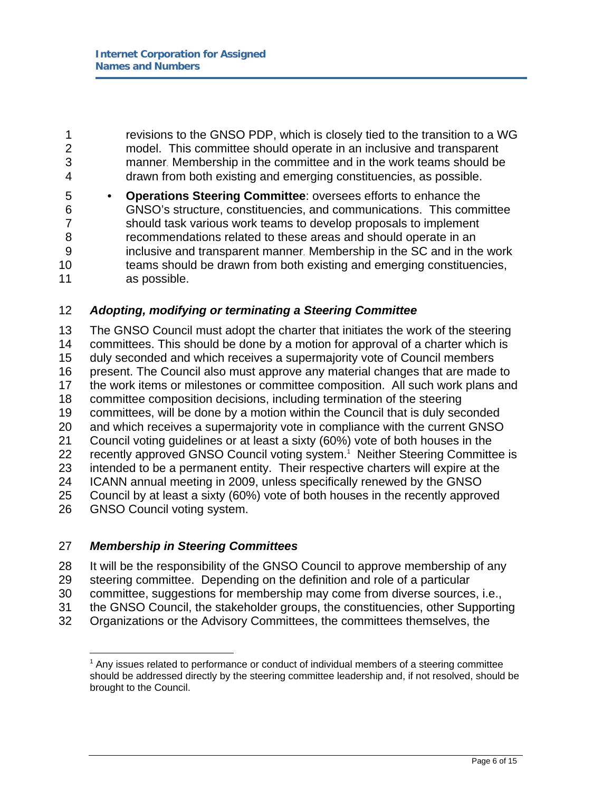1 revisions to the GNSO PDP, which is closely tied to the transition to a WG 2 model. This committee should operate in an inclusive and transparent 3 manner. Membership in the committee and in the work teams should be 4 drawn from both existing and emerging constituencies, as possible.

5 • **Operations Steering Committee**: oversees efforts to enhance the 6 GNSO's structure, constituencies, and communications. This committee 7 should task various work teams to develop proposals to implement 8 recommendations related to these areas and should operate in an 9 inclusive and transparent manner. Membership in the SC and in the work 10 teams should be drawn from both existing and emerging constituencies, 11 as possible.

#### 12 *Adopting, modifying or terminating a Steering Committee*

13 The GNSO Council must adopt the charter that initiates the work of the steering 14 committees. This should be done by a motion for approval of a charter which is 15 duly seconded and which receives a supermajority vote of Council members 16 present. The Council also must approve any material changes that are made to 17 the work items or milestones or committee composition. All such work plans and 18 committee composition decisions, including termination of the steering 19 committees, will be done by a motion within the Council that is duly seconded 20 and which receives a supermajority vote in compliance with the current GNSO 21 Council voting guidelines or at least a sixty (60%) vote of both houses in the 22 recently approved GNSO Council voting system.<sup>1</sup> Neither Steering Committee is 23 intended to be a permanent entity. Their respective charters will expire at the 24 ICANN annual meeting in 2009, unless specifically renewed by the GNSO 25 Council by at least a sixty (60%) vote of both houses in the recently approved 26 GNSO Council voting system.

#### 27 *Membership in Steering Committees*

- 28 It will be the responsibility of the GNSO Council to approve membership of any
- 29 steering committee. Depending on the definition and role of a particular
- 30 committee, suggestions for membership may come from diverse sources, i.e.,
- 31 the GNSO Council, the stakeholder groups, the constituencies, other Supporting
- 32 Organizations or the Advisory Committees, the committees themselves, the

 $\overline{a}$ <sup>1</sup> Any issues related to performance or conduct of individual members of a steering committee should be addressed directly by the steering committee leadership and, if not resolved, should be brought to the Council.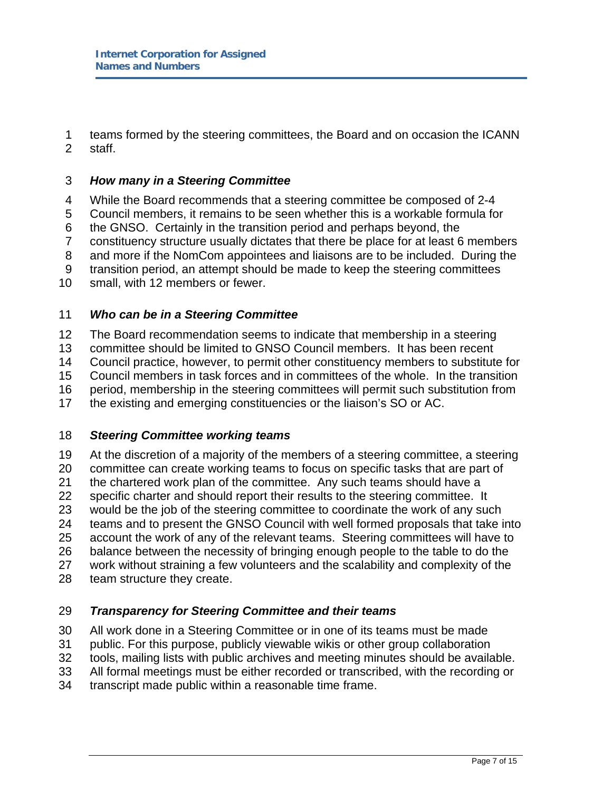1 teams formed by the steering committees, the Board and on occasion the ICANN 2 staff.

#### 3 *How many in a Steering Committee*

4 While the Board recommends that a steering committee be composed of 2-4

5 Council members, it remains to be seen whether this is a workable formula for

6 the GNSO. Certainly in the transition period and perhaps beyond, the

7 constituency structure usually dictates that there be place for at least 6 members

8 and more if the NomCom appointees and liaisons are to be included. During the

9 transition period, an attempt should be made to keep the steering committees

10 small, with 12 members or fewer.

#### 11 *Who can be in a Steering Committee*

12 The Board recommendation seems to indicate that membership in a steering 13 committee should be limited to GNSO Council members. It has been recent 14 Council practice, however, to permit other constituency members to substitute for 15 Council members in task forces and in committees of the whole. In the transition 16 period, membership in the steering committees will permit such substitution from 17 the existing and emerging constituencies or the liaison's SO or AC.

#### 18 *Steering Committee working teams*

19 At the discretion of a majority of the members of a steering committee, a steering 20 committee can create working teams to focus on specific tasks that are part of 21 the chartered work plan of the committee. Any such teams should have a 22 specific charter and should report their results to the steering committee. It 23 would be the job of the steering committee to coordinate the work of any such 24 teams and to present the GNSO Council with well formed proposals that take into 25 account the work of any of the relevant teams. Steering committees will have to 26 balance between the necessity of bringing enough people to the table to do the 27 work without straining a few volunteers and the scalability and complexity of the 28 team structure they create.

#### 29 *Transparency for Steering Committee and their teams*

30 All work done in a Steering Committee or in one of its teams must be made

31 public. For this purpose, publicly viewable wikis or other group collaboration

32 tools, mailing lists with public archives and meeting minutes should be available.

33 All formal meetings must be either recorded or transcribed, with the recording or

34 transcript made public within a reasonable time frame.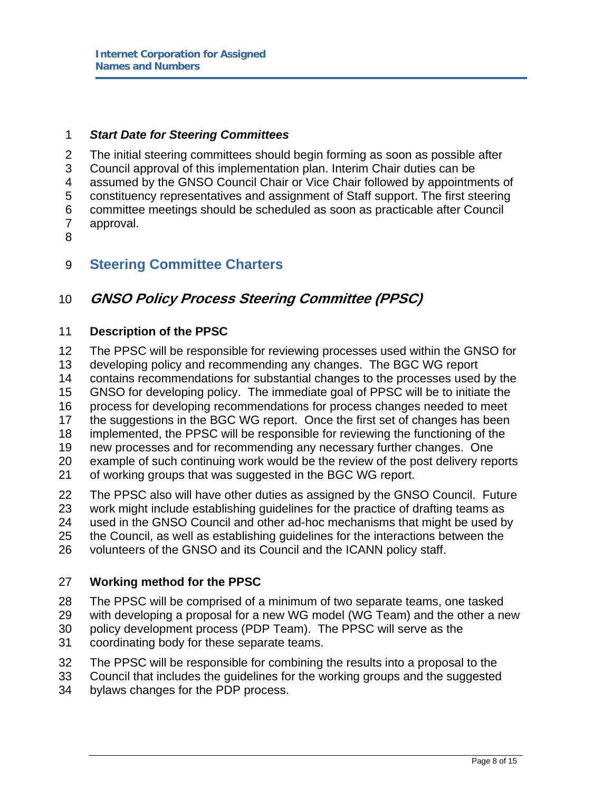#### 1 *Start Date for Steering Committees*

2 The initial steering committees should begin forming as soon as possible after 3 Council approval of this implementation plan. Interim Chair duties can be 4 assumed by the GNSO Council Chair or Vice Chair followed by appointments of 5 constituency representatives and assignment of Staff support. The first steering 6 committee meetings should be scheduled as soon as practicable after Council 7 approval. 8

## 9 **Steering Committee Charters**

# 10 **GNSO Policy Process Steering Committee (PPSC)**

#### 11 **Description of the PPSC**

12 The PPSC will be responsible for reviewing processes used within the GNSO for 13 developing policy and recommending any changes. The BGC WG report 14 contains recommendations for substantial changes to the processes used by the 15 GNSO for developing policy. The immediate goal of PPSC will be to initiate the 16 process for developing recommendations for process changes needed to meet 17 the suggestions in the BGC WG report. Once the first set of changes has been 18 implemented, the PPSC will be responsible for reviewing the functioning of the 19 new processes and for recommending any necessary further changes. One 20 example of such continuing work would be the review of the post delivery reports 21 of working groups that was suggested in the BGC WG report. 22 The PPSC also will have other duties as assigned by the GNSO Council. Future

- 23 work might include establishing guidelines for the practice of drafting teams as 24 used in the GNSO Council and other ad-hoc mechanisms that might be used by
- 25 the Council, as well as establishing guidelines for the interactions between the
- 26 volunteers of the GNSO and its Council and the ICANN policy staff.

#### 27 **Working method for the PPSC**

- 28 The PPSC will be comprised of a minimum of two separate teams, one tasked
- 29 with developing a proposal for a new WG model (WG Team) and the other a new
- 30 policy development process (PDP Team). The PPSC will serve as the
- 31 coordinating body for these separate teams.
- 32 The PPSC will be responsible for combining the results into a proposal to the
- 33 Council that includes the guidelines for the working groups and the suggested
- 34 bylaws changes for the PDP process.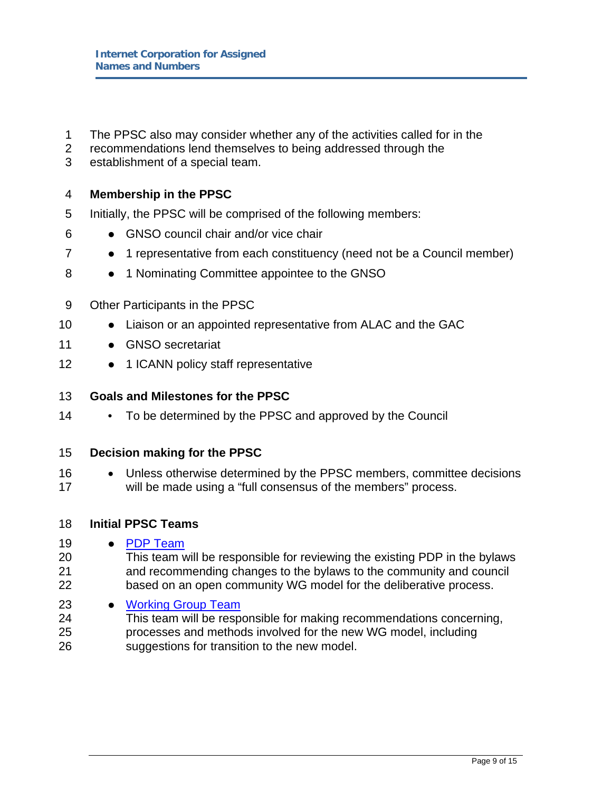- 1 The PPSC also may consider whether any of the activities called for in the
- 2 recommendations lend themselves to being addressed through the
- 3 establishment of a special team.

#### 4 **Membership in the PPSC**

- 5 Initially, the PPSC will be comprised of the following members:
- 6 GNSO council chair and/or vice chair
- 7 1 representative from each constituency (need not be a Council member)
- 8 1 Nominating Committee appointee to the GNSO
- 9 Other Participants in the PPSC
- 10 Liaison or an appointed representative from ALAC and the GAC
- 11 GNSO secretariat
- 12 1 ICANN policy staff representative

#### 13 **Goals and Milestones for the PPSC**

14 • To be determined by the PPSC and approved by the Council

#### 15 **Decision making for the PPSC**

- 16 Unless otherwise determined by the PPSC members, committee decisions 17 will be made using a "full consensus of the members" process.
- 18 **Initial PPSC Teams**
- 19 · PDP Team
- 20 This team will be responsible for reviewing the existing PDP in the bylaws 21 and recommending changes to the bylaws to the community and council 22 based on an open community WG model for the deliberative process.
- 23 Working Group Team
- 24 This team will be responsible for making recommendations concerning, 25 processes and methods involved for the new WG model, including 26 suggestions for transition to the new model.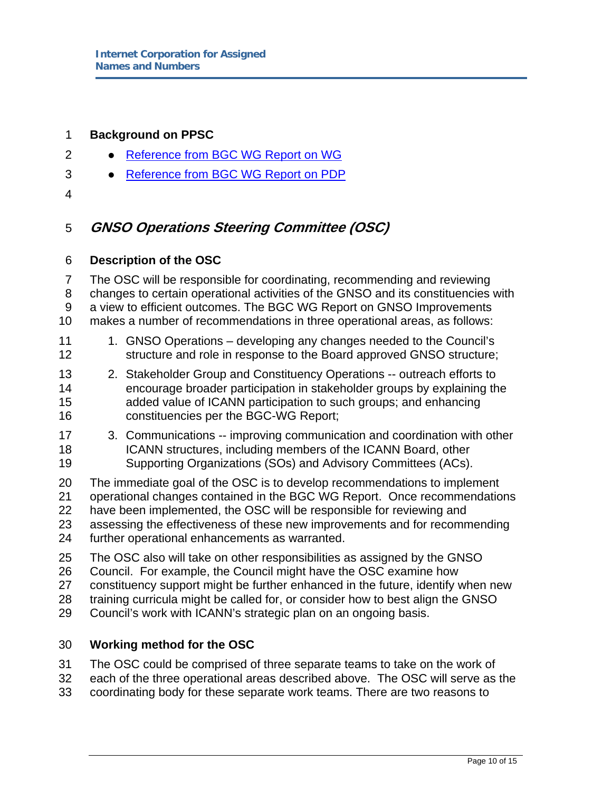#### 1 **Background on PPSC**

- 2 Reference from BGC WG Report on WG
- 3 e Reference from BGC WG Report on PDP
- 4

## 5 **GNSO Operations Steering Committee (OSC)**

#### 6 **Description of the OSC**

7 The OSC will be responsible for coordinating, recommending and reviewing 8 changes to certain operational activities of the GNSO and its constituencies with 9 a view to efficient outcomes. The BGC WG Report on GNSO Improvements 10 makes a number of recommendations in three operational areas, as follows:

- 11 1. GNSO Operations developing any changes needed to the Council's 12 structure and role in response to the Board approved GNSO structure;
- 13 2. Stakeholder Group and Constituency Operations -- outreach efforts to 14 encourage broader participation in stakeholder groups by explaining the 15 added value of ICANN participation to such groups; and enhancing 16 constituencies per the BGC-WG Report;
- 17 3. Communications -- improving communication and coordination with other 18 ICANN structures, including members of the ICANN Board, other 19 Supporting Organizations (SOs) and Advisory Committees (ACs).

20 The immediate goal of the OSC is to develop recommendations to implement 21 operational changes contained in the BGC WG Report. Once recommendations 22 have been implemented, the OSC will be responsible for reviewing and 23 assessing the effectiveness of these new improvements and for recommending 24 further operational enhancements as warranted.

- 25 The OSC also will take on other responsibilities as assigned by the GNSO
- 26 Council. For example, the Council might have the OSC examine how
- 27 constituency support might be further enhanced in the future, identify when new
- 28 training curricula might be called for, or consider how to best align the GNSO
- 29 Council's work with ICANN's strategic plan on an ongoing basis.

#### 30 **Working method for the OSC**

- 31 The OSC could be comprised of three separate teams to take on the work of
- 32 each of the three operational areas described above. The OSC will serve as the
- 33 coordinating body for these separate work teams. There are two reasons to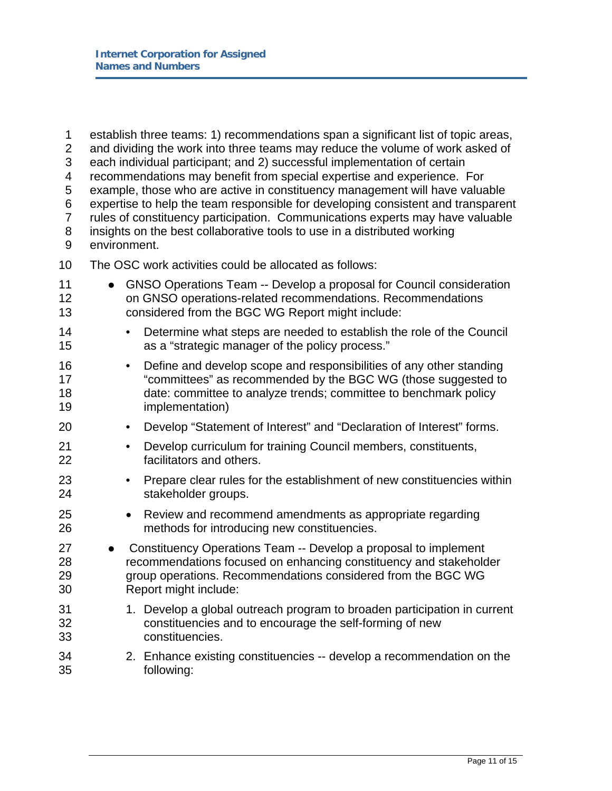| 1<br>$\overline{2}$<br>3<br>4<br>5<br>6<br>$\overline{7}$<br>8<br>9 | establish three teams: 1) recommendations span a significant list of topic areas,<br>and dividing the work into three teams may reduce the volume of work asked of<br>each individual participant; and 2) successful implementation of certain<br>recommendations may benefit from special expertise and experience. For<br>example, those who are active in constituency management will have valuable<br>expertise to help the team responsible for developing consistent and transparent<br>rules of constituency participation. Communications experts may have valuable<br>insights on the best collaborative tools to use in a distributed working<br>environment. |                                                                                                                                                                                                                             |  |
|---------------------------------------------------------------------|--------------------------------------------------------------------------------------------------------------------------------------------------------------------------------------------------------------------------------------------------------------------------------------------------------------------------------------------------------------------------------------------------------------------------------------------------------------------------------------------------------------------------------------------------------------------------------------------------------------------------------------------------------------------------|-----------------------------------------------------------------------------------------------------------------------------------------------------------------------------------------------------------------------------|--|
| 10                                                                  | The OSC work activities could be allocated as follows:                                                                                                                                                                                                                                                                                                                                                                                                                                                                                                                                                                                                                   |                                                                                                                                                                                                                             |  |
| 11<br>12<br>13                                                      | GNSO Operations Team -- Develop a proposal for Council consideration<br>$\bullet$<br>on GNSO operations-related recommendations. Recommendations<br>considered from the BGC WG Report might include:                                                                                                                                                                                                                                                                                                                                                                                                                                                                     |                                                                                                                                                                                                                             |  |
| 14<br>15                                                            | $\bullet$                                                                                                                                                                                                                                                                                                                                                                                                                                                                                                                                                                                                                                                                | Determine what steps are needed to establish the role of the Council<br>as a "strategic manager of the policy process."                                                                                                     |  |
| 16<br>17<br>18<br>19                                                |                                                                                                                                                                                                                                                                                                                                                                                                                                                                                                                                                                                                                                                                          | Define and develop scope and responsibilities of any other standing<br>"committees" as recommended by the BGC WG (those suggested to<br>date: committee to analyze trends; committee to benchmark policy<br>implementation) |  |
| 20                                                                  | $\bullet$                                                                                                                                                                                                                                                                                                                                                                                                                                                                                                                                                                                                                                                                | Develop "Statement of Interest" and "Declaration of Interest" forms.                                                                                                                                                        |  |
| 21<br>22                                                            |                                                                                                                                                                                                                                                                                                                                                                                                                                                                                                                                                                                                                                                                          | Develop curriculum for training Council members, constituents,<br>facilitators and others.                                                                                                                                  |  |
| 23<br>24                                                            | ٠                                                                                                                                                                                                                                                                                                                                                                                                                                                                                                                                                                                                                                                                        | Prepare clear rules for the establishment of new constituencies within<br>stakeholder groups.                                                                                                                               |  |
| 25<br>26                                                            |                                                                                                                                                                                                                                                                                                                                                                                                                                                                                                                                                                                                                                                                          | Review and recommend amendments as appropriate regarding<br>methods for introducing new constituencies.                                                                                                                     |  |
| 27<br>28<br>29<br>30                                                | Constituency Operations Team -- Develop a proposal to implement<br>$\bullet$<br>recommendations focused on enhancing constituency and stakeholder<br>group operations. Recommendations considered from the BGC WG<br>Report might include:                                                                                                                                                                                                                                                                                                                                                                                                                               |                                                                                                                                                                                                                             |  |
| 31<br>32<br>33                                                      |                                                                                                                                                                                                                                                                                                                                                                                                                                                                                                                                                                                                                                                                          | 1. Develop a global outreach program to broaden participation in current<br>constituencies and to encourage the self-forming of new<br>constituencies.                                                                      |  |
| 34<br>35                                                            |                                                                                                                                                                                                                                                                                                                                                                                                                                                                                                                                                                                                                                                                          | 2. Enhance existing constituencies -- develop a recommendation on the<br>following:                                                                                                                                         |  |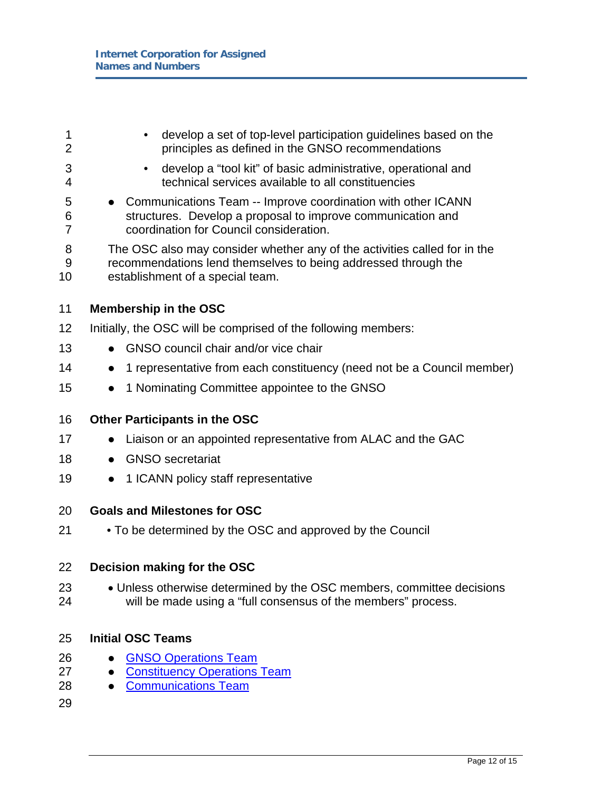1 • develop a set of top-level participation guidelines based on the 2 principles as defined in the GNSO recommendations 3 • develop a "tool kit" of basic administrative, operational and 4 technical services available to all constituencies 5 • Communications Team -- Improve coordination with other ICANN 6 structures. Develop a proposal to improve communication and 7 coordination for Council consideration. 8 The OSC also may consider whether any of the activities called for in the 9 recommendations lend themselves to being addressed through the 10 establishment of a special team. 11 **Membership in the OSC**  12 Initially, the OSC will be comprised of the following members: 13 • GNSO council chair and/or vice chair 14 • 1 representative from each constituency (need not be a Council member) 15 • 1 Nominating Committee appointee to the GNSO 16 **Other Participants in the OSC**  17 • Liaison or an appointed representative from ALAC and the GAC 18 · GNSO secretariat 19 • 1 ICANN policy staff representative 20 **Goals and Milestones for OSC**  21 • To be determined by the OSC and approved by the Council 22 **Decision making for the OSC**  23 • Unless otherwise determined by the OSC members, committee decisions 24 will be made using a "full consensus of the members" process. 25 **Initial OSC Teams**  26 • GNSO Operations Team 27 • Constituency Operations Team 28 • Communications Team 29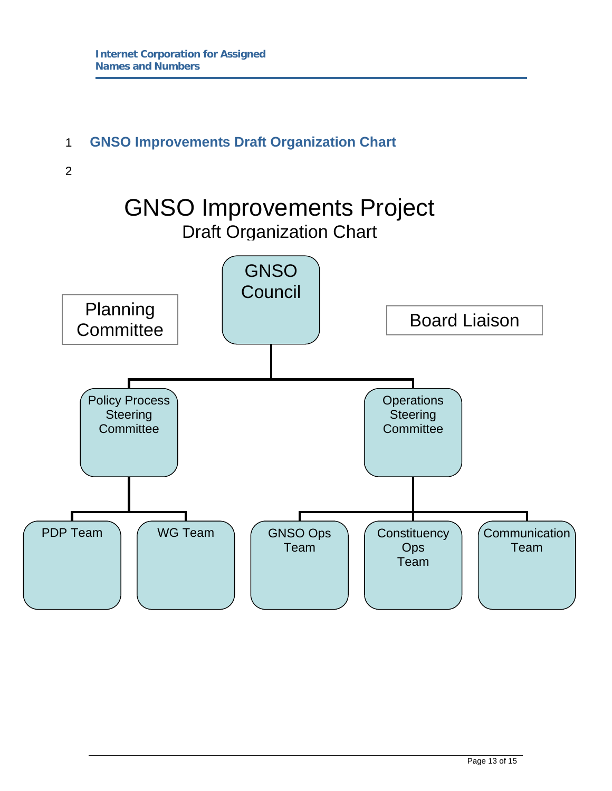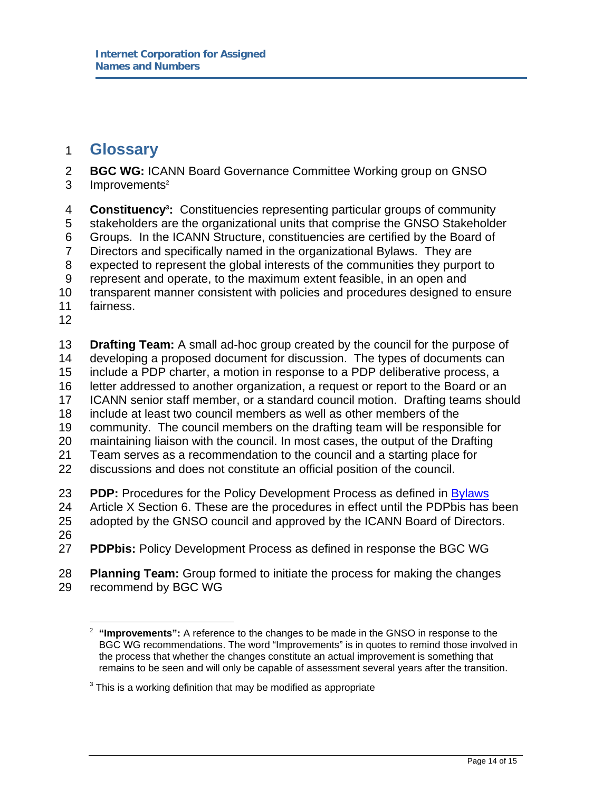## 1 **Glossary**

- 2 **BGC WG:** ICANN Board Governance Committee Working group on GNSO
- $3$  Improvements<sup>2</sup>

**Constituency3** 4 **:** Constituencies representing particular groups of community 5 stakeholders are the organizational units that comprise the GNSO Stakeholder 6 Groups. In the ICANN Structure, constituencies are certified by the Board of 7 Directors and specifically named in the organizational Bylaws. They are 8 expected to represent the global interests of the communities they purport to 9 represent and operate, to the maximum extent feasible, in an open and 10 transparent manner consistent with policies and procedures designed to ensure 11 fairness. 12 13 **Drafting Team:** A small ad-hoc group created by the council for the purpose of

14 developing a proposed document for discussion. The types of documents can 15 include a PDP charter, a motion in response to a PDP deliberative process, a

- 16 letter addressed to another organization, a request or report to the Board or an
- 17 ICANN senior staff member, or a standard council motion. Drafting teams should
- 18 include at least two council members as well as other members of the
- 19 community. The council members on the drafting team will be responsible for
- 20 maintaining liaison with the council. In most cases, the output of the Drafting
- 21 Team serves as a recommendation to the council and a starting place for
- 22 discussions and does not constitute an official position of the council.
- 23 **PDP:** Procedures for the Policy Development Process as defined in Bylaws
- 24 Article X Section 6. These are the procedures in effect until the PDPbis has been
- 25 adopted by the GNSO council and approved by the ICANN Board of Directors.
- 26

 $\overline{a}$ 

- 27 **PDPbis:** Policy Development Process as defined in response the BGC WG
- 28 **Planning Team:** Group formed to initiate the process for making the changes 29 recommend by BGC WG

<sup>&</sup>lt;sup>2</sup> "Improvements": A reference to the changes to be made in the GNSO in response to the BGC WG recommendations. The word "Improvements" is in quotes to remind those involved in the process that whether the changes constitute an actual improvement is something that remains to be seen and will only be capable of assessment several years after the transition.

 $3$  This is a working definition that may be modified as appropriate